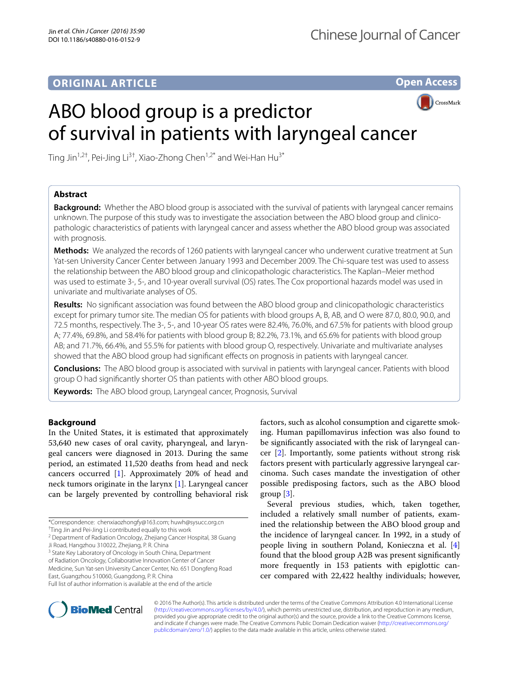# **ORIGINAL ARTICLE**

**Open Access**

CrossMark

# ABO blood group is a predictor of survival in patients with laryngeal cancer

Ting Jin<sup>1,2†</sup>, Pei-Jing Li<sup>3†</sup>, Xiao-Zhong Chen<sup>1,2\*</sup> and Wei-Han Hu<sup>3\*</sup>

# **Abstract**

**Background:** Whether the ABO blood group is associated with the survival of patients with laryngeal cancer remains unknown. The purpose of this study was to investigate the association between the ABO blood group and clinicopathologic characteristics of patients with laryngeal cancer and assess whether the ABO blood group was associated with prognosis.

**Methods:** We analyzed the records of 1260 patients with laryngeal cancer who underwent curative treatment at Sun Yat-sen University Cancer Center between January 1993 and December 2009. The Chi-square test was used to assess the relationship between the ABO blood group and clinicopathologic characteristics. The Kaplan–Meier method was used to estimate 3-, 5-, and 10-year overall survival (OS) rates. The Cox proportional hazards model was used in univariate and multivariate analyses of OS.

**Results:** No significant association was found between the ABO blood group and clinicopathologic characteristics except for primary tumor site. The median OS for patients with blood groups A, B, AB, and O were 87.0, 80.0, 90.0, and 72.5 months, respectively. The 3-, 5-, and 10-year OS rates were 82.4%, 76.0%, and 67.5% for patients with blood group A; 77.4%, 69.8%, and 58.4% for patients with blood group B; 82.2%, 73.1%, and 65.6% for patients with blood group AB; and 71.7%, 66.4%, and 55.5% for patients with blood group O, respectively. Univariate and multivariate analyses showed that the ABO blood group had significant effects on prognosis in patients with laryngeal cancer.

**Conclusions:** The ABO blood group is associated with survival in patients with laryngeal cancer. Patients with blood group O had significantly shorter OS than patients with other ABO blood groups.

**Keywords:** The ABO blood group, Laryngeal cancer, Prognosis, Survival

## **Background**

In the United States, it is estimated that approximately 53,640 new cases of oral cavity, pharyngeal, and laryngeal cancers were diagnosed in 2013. During the same period, an estimated 11,520 deaths from head and neck cancers occurred [[1\]](#page-6-0). Approximately 20% of head and neck tumors originate in the larynx [[1](#page-6-0)]. Laryngeal cancer can be largely prevented by controlling behavioral risk

<sup>3</sup> State Key Laboratory of Oncology in South China, Department of Radiation Oncology, Collaborative Innovation Center of Cancer

Medicine, Sun Yat-sen University Cancer Center, No. 651 Dongfeng Road

East, Guangzhou 510060, Guangdong, P. R. China

factors, such as alcohol consumption and cigarette smoking. Human papillomavirus infection was also found to be significantly associated with the risk of laryngeal cancer [[2\]](#page-6-1). Importantly, some patients without strong risk factors present with particularly aggressive laryngeal carcinoma. Such cases mandate the investigation of other possible predisposing factors, such as the ABO blood group [\[3](#page-6-2)].

Several previous studies, which, taken together, included a relatively small number of patients, examined the relationship between the ABO blood group and the incidence of laryngeal cancer. In 1992, in a study of people living in southern Poland, Konieczna et al. [\[4](#page-6-3)] found that the blood group A2B was present significantly more frequently in 153 patients with epiglottic cancer compared with 22,422 healthy individuals; however,



© 2016 The Author(s). This article is distributed under the terms of the Creative Commons Attribution 4.0 International License [\(http://creativecommons.org/licenses/by/4.0/\)](http://creativecommons.org/licenses/by/4.0/), which permits unrestricted use, distribution, and reproduction in any medium, provided you give appropriate credit to the original author(s) and the source, provide a link to the Creative Commons license, and indicate if changes were made. The Creative Commons Public Domain Dedication waiver ([http://creativecommons.org/](http://creativecommons.org/publicdomain/zero/1.0/) [publicdomain/zero/1.0/](http://creativecommons.org/publicdomain/zero/1.0/)) applies to the data made available in this article, unless otherwise stated.

<sup>\*</sup>Correspondence: chenxiaozhongfy@163.com; huwh@sysucc.org.cn

<sup>†</sup> Ting Jin and Pei-Jing Li contributed equally to this work

<sup>&</sup>lt;sup>2</sup> Department of Radiation Oncology, Zhejiang Cancer Hospital, 38 Guang Ji Road, Hangzhou 310022, Zhejiang, P. R. China

Full list of author information is available at the end of the article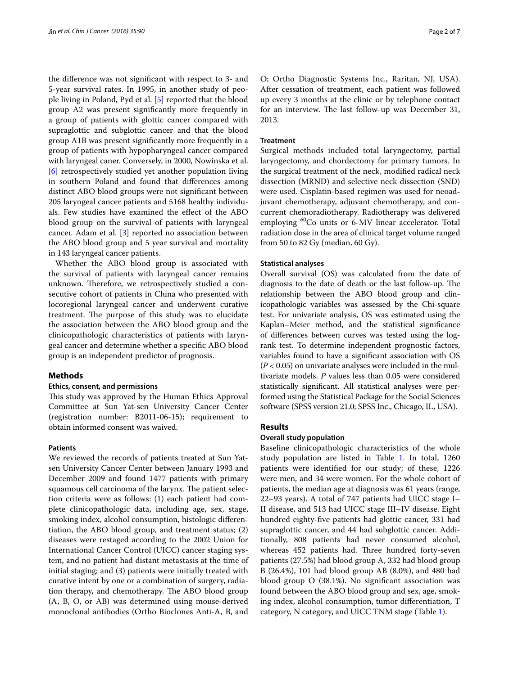the difference was not significant with respect to 3- and 5-year survival rates. In 1995, in another study of people living in Poland, Pyd et al. [[5\]](#page-6-4) reported that the blood group A2 was present significantly more frequently in a group of patients with glottic cancer compared with supraglottic and subglottic cancer and that the blood group A1B was present significantly more frequently in a group of patients with hypopharyngeal cancer compared with laryngeal caner. Conversely, in 2000, Nowinska et al. [[6\]](#page-6-5) retrospectively studied yet another population living in southern Poland and found that differences among distinct ABO blood groups were not significant between 205 laryngeal cancer patients and 5168 healthy individuals. Few studies have examined the effect of the ABO blood group on the survival of patients with laryngeal cancer. Adam et al. [\[3](#page-6-2)] reported no association between the ABO blood group and 5 year survival and mortality in 143 laryngeal cancer patients.

Whether the ABO blood group is associated with the survival of patients with laryngeal cancer remains unknown. Therefore, we retrospectively studied a consecutive cohort of patients in China who presented with locoregional laryngeal cancer and underwent curative treatment. The purpose of this study was to elucidate the association between the ABO blood group and the clinicopathologic characteristics of patients with laryngeal cancer and determine whether a specific ABO blood group is an independent predictor of prognosis.

#### **Methods**

#### **Ethics, consent, and permissions**

This study was approved by the Human Ethics Approval Committee at Sun Yat-sen University Cancer Center (registration number: B2011-06-15); requirement to obtain informed consent was waived.

#### **Patients**

We reviewed the records of patients treated at Sun Yatsen University Cancer Center between January 1993 and December 2009 and found 1477 patients with primary squamous cell carcinoma of the larynx. The patient selection criteria were as follows: (1) each patient had complete clinicopathologic data, including age, sex, stage, smoking index, alcohol consumption, histologic differentiation, the ABO blood group, and treatment status; (2) diseases were restaged according to the 2002 Union for International Cancer Control (UICC) cancer staging system, and no patient had distant metastasis at the time of initial staging; and (3) patients were initially treated with curative intent by one or a combination of surgery, radiation therapy, and chemotherapy. The ABO blood group (A, B, O, or AB) was determined using mouse-derived monoclonal antibodies (Ortho Bioclones Anti-A, B, and

O; Ortho Diagnostic Systems Inc., Raritan, NJ, USA). After cessation of treatment, each patient was followed up every 3 months at the clinic or by telephone contact for an interview. The last follow-up was December 31, 2013.

### **Treatment**

Surgical methods included total laryngectomy, partial laryngectomy, and chordectomy for primary tumors. In the surgical treatment of the neck, modified radical neck dissection (MRND) and selective neck dissection (SND) were used. Cisplatin-based regimen was used for neoadjuvant chemotherapy, adjuvant chemotherapy, and concurrent chemoradiotherapy. Radiotherapy was delivered employing <sup>60</sup>Co units or 6-MV linear accelerator. Total radiation dose in the area of clinical target volume ranged from 50 to 82 Gy (median, 60 Gy).

### **Statistical analyses**

Overall survival (OS) was calculated from the date of diagnosis to the date of death or the last follow-up. The relationship between the ABO blood group and clinicopathologic variables was assessed by the Chi-square test. For univariate analysis, OS was estimated using the Kaplan–Meier method, and the statistical significance of differences between curves was tested using the logrank test. To determine independent prognostic factors, variables found to have a significant association with OS (*P* < 0.05) on univariate analyses were included in the multivariate models. *P* values less than 0.05 were considered statistically significant. All statistical analyses were performed using the Statistical Package for the Social Sciences software (SPSS version 21.0; SPSS Inc., Chicago, IL, USA).

## **Results**

## **Overall study population**

Baseline clinicopathologic characteristics of the whole study population are listed in Table [1.](#page-2-0) In total, 1260 patients were identified for our study; of these, 1226 were men, and 34 were women. For the whole cohort of patients, the median age at diagnosis was 61 years (range, 22–93 years). A total of 747 patients had UICC stage I– II disease, and 513 had UICC stage III–IV disease. Eight hundred eighty-five patients had glottic cancer, 331 had supraglottic cancer, and 44 had subglottic cancer. Additionally, 808 patients had never consumed alcohol, whereas 452 patients had. Three hundred forty-seven patients (27.5%) had blood group A, 332 had blood group B (26.4%), 101 had blood group AB (8.0%), and 480 had blood group O (38.1%). No significant association was found between the ABO blood group and sex, age, smoking index, alcohol consumption, tumor differentiation, T category, N category, and UICC TNM stage (Table [1\)](#page-2-0).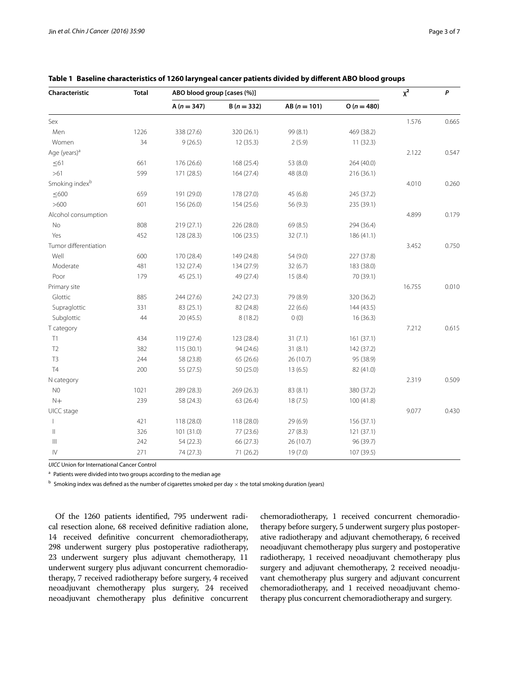| Characteristic             | <b>Total</b> | ABO blood group [cases (%)] |              |                |              | $x^2$  | P     |
|----------------------------|--------------|-----------------------------|--------------|----------------|--------------|--------|-------|
|                            |              | $A(n = 347)$                | $B(n = 332)$ | $AB (n = 101)$ | $O(n = 480)$ |        |       |
| Sex                        |              |                             |              |                |              | 1.576  | 0.665 |
| Men                        | 1226         | 338 (27.6)                  | 320 (26.1)   | 99 (8.1)       | 469 (38.2)   |        |       |
| Women                      | 34           | 9(26.5)                     | 12(35.3)     | 2(5.9)         | 11(32.3)     |        |       |
| Age (years) <sup>a</sup>   |              |                             |              |                |              | 2.122  | 0.547 |
| $\leq 61$                  | 661          | 176 (26.6)                  | 168 (25.4)   | 53 (8.0)       | 264 (40.0)   |        |       |
| $>61$                      | 599          | 171 (28.5)                  | 164(27.4)    | 48 (8.0)       | 216 (36.1)   |        |       |
| Smoking index <sup>b</sup> |              |                             |              |                |              | 4.010  | 0.260 |
| $\leq 600$                 | 659          | 191 (29.0)                  | 178 (27.0)   | 45(6.8)        | 245 (37.2)   |        |       |
| >600                       | 601          | 156 (26.0)                  | 154 (25.6)   | 56 (9.3)       | 235 (39.1)   |        |       |
| Alcohol consumption        |              |                             |              |                |              | 4.899  | 0.179 |
| No                         | 808          | 219 (27.1)                  | 226 (28.0)   | 69 (8.5)       | 294 (36.4)   |        |       |
| Yes                        | 452          | 128 (28.3)                  | 106(23.5)    | 32(7.1)        | 186 (41.1)   |        |       |
| Tumor differentiation      |              |                             |              |                |              | 3.452  | 0.750 |
| Well                       | 600          | 170 (28.4)                  | 149 (24.8)   | 54 (9.0)       | 227 (37.8)   |        |       |
| Moderate                   | 481          | 132 (27.4)                  | 134 (27.9)   | 32(6.7)        | 183 (38.0)   |        |       |
| Poor                       | 179          | 45(25.1)                    | 49 (27.4)    | 15(8.4)        | 70 (39.1)    |        |       |
| Primary site               |              |                             |              |                |              | 16.755 | 0.010 |
| Glottic                    | 885          | 244 (27.6)                  | 242 (27.3)   | 79 (8.9)       | 320 (36.2)   |        |       |
| Supraglottic               | 331          | 83 (25.1)                   | 82 (24.8)    | 22(6.6)        | 144 (43.5)   |        |       |
| Subglottic                 | 44           | 20(45.5)                    | 8(18.2)      | 0(0)           | 16(36.3)     |        |       |
| T category                 |              |                             |              |                |              | 7.212  | 0.615 |
| T1                         | 434          | 119 (27.4)                  | 123 (28.4)   | 31(7.1)        | 161 (37.1)   |        |       |
| T2                         | 382          | 115(30.1)                   | 94 (24.6)    | 31(8.1)        | 142 (37.2)   |        |       |
| T <sub>3</sub>             | 244          | 58 (23.8)                   | 65 (26.6)    | 26 (10.7)      | 95 (38.9)    |        |       |
| T <sub>4</sub>             | 200          | 55 (27.5)                   | 50(25.0)     | 13(6.5)        | 82 (41.0)    |        |       |
| N category                 |              |                             |              |                |              | 2.319  | 0.509 |
| N <sub>0</sub>             | 1021         | 289 (28.3)                  | 269 (26.3)   | 83 (8.1)       | 380 (37.2)   |        |       |
| $N+$                       | 239          | 58 (24.3)                   | 63 (26.4)    | 18(7.5)        | 100 (41.8)   |        |       |
| UICC stage                 |              |                             |              |                |              | 9.077  | 0.430 |
|                            | 421          | 118 (28.0)                  | 118 (28.0)   | 29(6.9)        | 156 (37.1)   |        |       |
| $\parallel$                | 326          | 101 (31.0)                  | 77 (23.6)    | 27(8.3)        | 121(37.1)    |        |       |
| $\left\  {}\right\ $       | 242          | 54 (22.3)                   | 66 (27.3)    | 26 (10.7)      | 96 (39.7)    |        |       |
| $\mathsf{IV}$              | 271          | 74 (27.3)                   | 71 (26.2)    | 19 (7.0)       | 107 (39.5)   |        |       |

<span id="page-2-0"></span>**Table 1 Baseline characteristics of 1260 laryngeal cancer patients divided by different ABO blood groups**

*UICC* Union for International Cancer Control

<sup>a</sup> Patients were divided into two groups according to the median age

 $^{\rm b}$  Smoking index was defined as the number of cigarettes smoked per day  $\times$  the total smoking duration (years)

Of the 1260 patients identified, 795 underwent radical resection alone, 68 received definitive radiation alone, 14 received definitive concurrent chemoradiotherapy, 298 underwent surgery plus postoperative radiotherapy, 23 underwent surgery plus adjuvant chemotherapy, 11 underwent surgery plus adjuvant concurrent chemoradiotherapy, 7 received radiotherapy before surgery, 4 received neoadjuvant chemotherapy plus surgery, 24 received neoadjuvant chemotherapy plus definitive concurrent chemoradiotherapy, 1 received concurrent chemoradiotherapy before surgery, 5 underwent surgery plus postoperative radiotherapy and adjuvant chemotherapy, 6 received neoadjuvant chemotherapy plus surgery and postoperative radiotherapy, 1 received neoadjuvant chemotherapy plus surgery and adjuvant chemotherapy, 2 received neoadjuvant chemotherapy plus surgery and adjuvant concurrent chemoradiotherapy, and 1 received neoadjuvant chemotherapy plus concurrent chemoradiotherapy and surgery.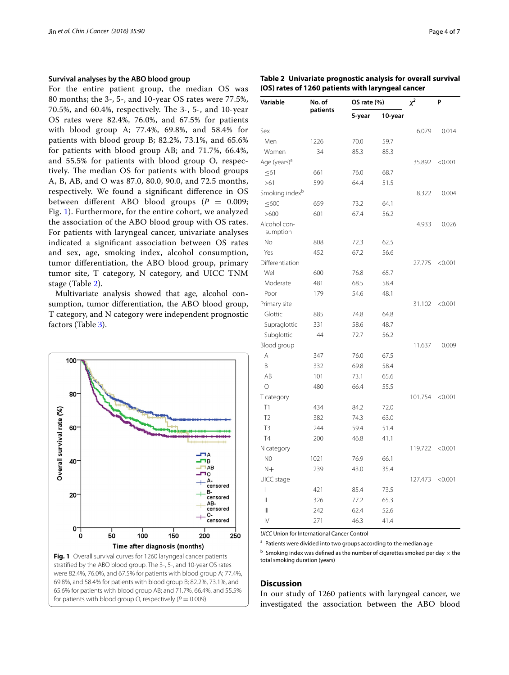## **Survival analyses by the ABO blood group**

For the entire patient group, the median OS was 80 months; the 3-, 5-, and 10-year OS rates were 77.5%, 70.5%, and 60.4%, respectively. The 3-, 5-, and 10-year OS rates were 82.4%, 76.0%, and 67.5% for patients with blood group A; 77.4%, 69.8%, and 58.4% for patients with blood group B; 82.2%, 73.1%, and 65.6% for patients with blood group AB; and 71.7%, 66.4%, and 55.5% for patients with blood group O, respectively. The median OS for patients with blood groups A, B, AB, and O was 87.0, 80.0, 90.0, and 72.5 months, respectively. We found a significant difference in OS between different ABO blood groups  $(P = 0.009)$ ; Fig. [1\)](#page-3-0). Furthermore, for the entire cohort, we analyzed the association of the ABO blood group with OS rates. For patients with laryngeal cancer, univariate analyses indicated a significant association between OS rates and sex, age, smoking index, alcohol consumption, tumor differentiation, the ABO blood group, primary tumor site, T category, N category, and UICC TNM stage (Table [2\)](#page-3-1).

Multivariate analysis showed that age, alcohol consumption, tumor differentiation, the ABO blood group, T category, and N category were independent prognostic factors (Table [3\)](#page-4-0).



<span id="page-3-1"></span>**Table 2 Univariate prognostic analysis for overall survival (OS) rates of 1260 patients with laryngeal cancer**

| Variable                   | No. of<br>patients | OS rate (%) |         | $x^2$   | P       |  |
|----------------------------|--------------------|-------------|---------|---------|---------|--|
|                            |                    | 5-year      | 10-year |         |         |  |
| Sex                        |                    |             |         | 6.079   | 0.014   |  |
| Men                        | 1226               | 70.0        | 59.7    |         |         |  |
| Women                      | 34                 | 85.3        | 85.3    |         |         |  |
| Age (years) <sup>a</sup>   |                    |             |         | 35.892  | < 0.001 |  |
| $\leq 61$                  | 661                | 76.0        | 68.7    |         |         |  |
| >61                        | 599                | 64.4        | 51.5    |         |         |  |
| Smoking index <sup>b</sup> |                    |             |         | 8.322   | 0.004   |  |
| $\leq 600$                 | 659                | 73.2        | 64.1    |         |         |  |
| >600                       | 601                | 67.4        | 56.2    |         |         |  |
| Alcohol con-<br>sumption   |                    |             |         | 4.933   | 0.026   |  |
| No                         | 808                | 72.3        | 62.5    |         |         |  |
| Yes                        | 452                | 67.2        | 56.6    |         |         |  |
| Differentiation            |                    |             |         | 27.775  | < 0.001 |  |
| Well                       | 600                | 76.8        | 65.7    |         |         |  |
| Moderate                   | 481                | 68.5        | 58.4    |         |         |  |
| Poor                       | 179                | 54.6        | 48.1    |         |         |  |
| Primary site               |                    |             |         | 31.102  | < 0.001 |  |
| Glottic                    | 885                | 74.8        | 64.8    |         |         |  |
| Supraglottic               | 331                | 58.6        | 48.7    |         |         |  |
| Subglottic                 | 44                 | 72.7        | 56.2    |         |         |  |
| Blood group                |                    |             |         | 11.637  | 0.009   |  |
| A                          | 347                | 76.0        | 67.5    |         |         |  |
| B                          | 332                | 69.8        | 58.4    |         |         |  |
| AB                         | 101                | 73.1        | 65.6    |         |         |  |
| $\circ$                    | 480                | 66.4        | 55.5    |         |         |  |
| T category                 |                    |             |         | 101.754 | < 0.001 |  |
| T1                         | 434                | 84.2        | 72.0    |         |         |  |
| T <sub>2</sub>             | 382                | 74.3        | 63.0    |         |         |  |
| T <sub>3</sub>             | 244                | 59.4        | 51.4    |         |         |  |
| <b>T4</b>                  | 200                | 46.8        | 41.1    |         |         |  |
| N category                 |                    |             |         | 119.722 | < 0.001 |  |
| N <sub>0</sub>             | 1021               | 76.9        | 66.1    |         |         |  |
| $N+$                       | 239                | 43.0        | 35.4    |         |         |  |
| UICC stage                 |                    |             |         | 127.473 | < 0.001 |  |
| $\overline{1}$             | 421                | 85.4        | 73.5    |         |         |  |
| Ш                          | 326                | 77.2        | 65.3    |         |         |  |
| Ш                          | 242                | 62.4        | 52.6    |         |         |  |
| IV                         | 271                | 46.3        | 41.4    |         |         |  |

*UICC* Union for International Cancer Control

<sup>a</sup> Patients were divided into two groups according to the median age

<span id="page-3-0"></span> $<sup>b</sup>$  Smoking index was defined as the number of cigarettes smoked per day  $\times$  the</sup> total smoking duration (years)

#### **Discussion**

In our study of 1260 patients with laryngeal cancer, we investigated the association between the ABO blood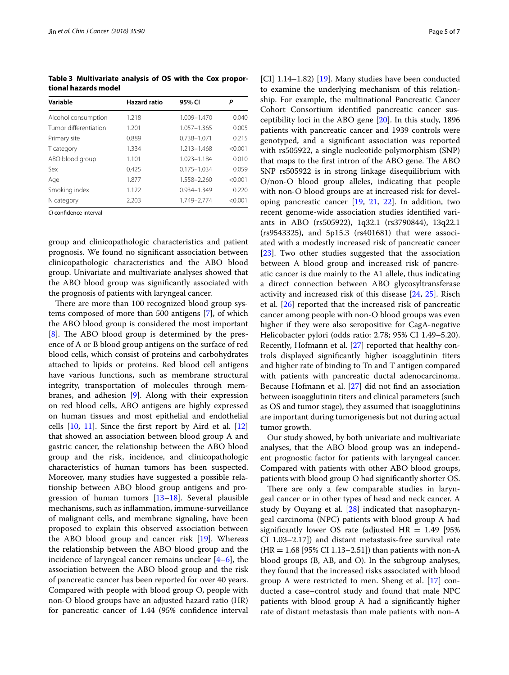<span id="page-4-0"></span>**Table 3 Multivariate analysis of OS with the Cox proportional hazards model**

| Variable              | <b>Hazard ratio</b> | 95% CI          | Р       |
|-----------------------|---------------------|-----------------|---------|
| Alcohol consumption   | 1.218               | 1.009-1.470     | 0.040   |
| Tumor differentiation | 1.201               | 1.057-1.365     | 0.005   |
| Primary site          | 0.889               | 0.738-1.071     | 0.215   |
| T category            | 1.334               | 1.213-1.468     | < 0.001 |
| ABO blood group       | 1.101               | 1.023-1.184     | 0.010   |
| Sex                   | 0.425               | $0.175 - 1.034$ | 0.059   |
| Age                   | 1.877               | 1.558-2.260     | < 0.001 |
| Smoking index         | 1.122               | 0.934-1.349     | 0.220   |
| N category            | 2.203               | 1.749-2.774     | < 0.001 |

*CI* confidence interval

group and clinicopathologic characteristics and patient prognosis. We found no significant association between clinicopathologic characteristics and the ABO blood group. Univariate and multivariate analyses showed that the ABO blood group was significantly associated with the prognosis of patients with laryngeal cancer.

There are more than 100 recognized blood group systems composed of more than 500 antigens [[7\]](#page-6-6), of which the ABO blood group is considered the most important [[8\]](#page-6-7). The ABO blood group is determined by the presence of A or B blood group antigens on the surface of red blood cells, which consist of proteins and carbohydrates attached to lipids or proteins. Red blood cell antigens have various functions, such as membrane structural integrity, transportation of molecules through membranes, and adhesion [\[9](#page-6-8)]. Along with their expression on red blood cells, ABO antigens are highly expressed on human tissues and most epithelial and endothelial cells  $[10, 11]$  $[10, 11]$  $[10, 11]$  $[10, 11]$  $[10, 11]$ . Since the first report by Aird et al.  $[12]$  $[12]$  $[12]$ that showed an association between blood group A and gastric cancer, the relationship between the ABO blood group and the risk, incidence, and clinicopathologic characteristics of human tumors has been suspected. Moreover, many studies have suggested a possible relationship between ABO blood group antigens and progression of human tumors [[13](#page-6-12)[–18](#page-6-13)]. Several plausible mechanisms, such as inflammation, immune-surveillance of malignant cells, and membrane signaling, have been proposed to explain this observed association between the ABO blood group and cancer risk [[19\]](#page-6-14). Whereas the relationship between the ABO blood group and the incidence of laryngeal cancer remains unclear  $[4-6]$  $[4-6]$ , the association between the ABO blood group and the risk of pancreatic cancer has been reported for over 40 years. Compared with people with blood group O, people with non-O blood groups have an adjusted hazard ratio (HR) for pancreatic cancer of 1.44 (95% confidence interval [CI] 1.14–1.82) [[19\]](#page-6-14). Many studies have been conducted to examine the underlying mechanism of this relationship. For example, the multinational Pancreatic Cancer Cohort Consortium identified pancreatic cancer susceptibility loci in the ABO gene [\[20](#page-6-15)]. In this study, 1896 patients with pancreatic cancer and 1939 controls were genotyped, and a significant association was reported with rs505922, a single nucleotide polymorphism (SNP) that maps to the first intron of the ABO gene. The ABO SNP rs505922 is in strong linkage disequilibrium with O/non-O blood group alleles, indicating that people with non-O blood groups are at increased risk for developing pancreatic cancer [\[19,](#page-6-14) [21,](#page-6-16) [22](#page-6-17)]. In addition, two recent genome-wide association studies identified variants in ABO (rs505922), 1q32.1 (rs3790844), 13q22.1 (rs9543325), and 5p15.3 (rs401681) that were associated with a modestly increased risk of pancreatic cancer [[23\]](#page-6-18). Two other studies suggested that the association between A blood group and increased risk of pancreatic cancer is due mainly to the A1 allele, thus indicating a direct connection between ABO glycosyltransferase activity and increased risk of this disease [\[24](#page-6-19), [25](#page-6-20)]. Risch et al. [[26\]](#page-6-21) reported that the increased risk of pancreatic cancer among people with non-O blood groups was even higher if they were also seropositive for CagA-negative Helicobacter pylori (odds ratio: 2.78; 95% CI 1.49–5.20). Recently, Hofmann et al. [\[27\]](#page-6-22) reported that healthy controls displayed significantly higher isoagglutinin titers and higher rate of binding to Tn and T antigen compared with patients with pancreatic ductal adenocarcinoma. Because Hofmann et al. [[27](#page-6-22)] did not find an association between isoagglutinin titers and clinical parameters (such as OS and tumor stage), they assumed that isoagglutinins are important during tumorigenesis but not during actual tumor growth.

Our study showed, by both univariate and multivariate analyses, that the ABO blood group was an independent prognostic factor for patients with laryngeal cancer. Compared with patients with other ABO blood groups, patients with blood group O had significantly shorter OS.

There are only a few comparable studies in laryngeal cancer or in other types of head and neck cancer. A study by Ouyang et al. [\[28\]](#page-6-23) indicated that nasopharyngeal carcinoma (NPC) patients with blood group A had significantly lower OS rate (adjusted  $HR = 1.49$  [95%] CI 1.03–2.17]) and distant metastasis-free survival rate  $(HR = 1.68 [95\% CI 1.13–2.51])$  than patients with non-A blood groups (B, AB, and O). In the subgroup analyses, they found that the increased risks associated with blood group A were restricted to men. Sheng et al. [\[17](#page-6-24)] conducted a case–control study and found that male NPC patients with blood group A had a significantly higher rate of distant metastasis than male patients with non-A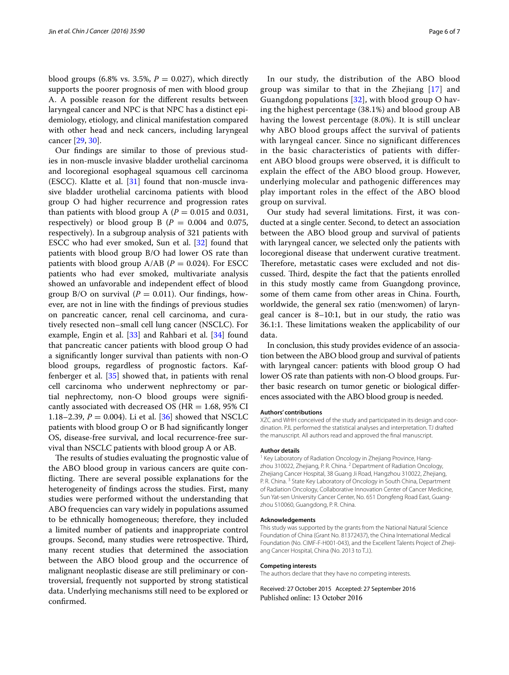blood groups (6.8% vs. 3.5%,  $P = 0.027$ ), which directly supports the poorer prognosis of men with blood group A. A possible reason for the different results between laryngeal cancer and NPC is that NPC has a distinct epidemiology, etiology, and clinical manifestation compared with other head and neck cancers, including laryngeal cancer [\[29](#page-6-25), [30](#page-6-26)].

Our findings are similar to those of previous studies in non-muscle invasive bladder urothelial carcinoma and locoregional esophageal squamous cell carcinoma (ESCC). Klatte et al.  $[31]$  $[31]$  found that non-muscle invasive bladder urothelial carcinoma patients with blood group O had higher recurrence and progression rates than patients with blood group A ( $P = 0.015$  and 0.031, respectively) or blood group B  $(P = 0.004$  and 0.075, respectively). In a subgroup analysis of 321 patients with ESCC who had ever smoked, Sun et al. [[32\]](#page-6-28) found that patients with blood group B/O had lower OS rate than patients with blood group  $A/AB$  ( $P = 0.024$ ). For ESCC patients who had ever smoked, multivariate analysis showed an unfavorable and independent effect of blood group B/O on survival  $(P = 0.011)$ . Our findings, however, are not in line with the findings of previous studies on pancreatic cancer, renal cell carcinoma, and curatively resected non–small cell lung cancer (NSCLC). For example, Engin et al. [\[33](#page-6-29)] and Rahbari et al. [[34\]](#page-6-30) found that pancreatic cancer patients with blood group O had a significantly longer survival than patients with non-O blood groups, regardless of prognostic factors. Kaffenberger et al. [[35\]](#page-6-31) showed that, in patients with renal cell carcinoma who underwent nephrectomy or partial nephrectomy, non-O blood groups were significantly associated with decreased OS ( $HR = 1.68$ , 95% CI 1.18–2.39,  $P = 0.004$ ). Li et al. [\[36\]](#page-6-32) showed that NSCLC patients with blood group O or B had significantly longer OS, disease-free survival, and local recurrence-free survival than NSCLC patients with blood group A or AB.

The results of studies evaluating the prognostic value of the ABO blood group in various cancers are quite conflicting. There are several possible explanations for the heterogeneity of findings across the studies. First, many studies were performed without the understanding that ABO frequencies can vary widely in populations assumed to be ethnically homogeneous; therefore, they included a limited number of patients and inappropriate control groups. Second, many studies were retrospective. Third, many recent studies that determined the association between the ABO blood group and the occurrence of malignant neoplastic disease are still preliminary or controversial, frequently not supported by strong statistical data. Underlying mechanisms still need to be explored or confirmed.

In our study, the distribution of the ABO blood group was similar to that in the Zhejiang [\[17\]](#page-6-24) and Guangdong populations [[32\]](#page-6-28), with blood group O having the highest percentage (38.1%) and blood group AB having the lowest percentage (8.0%). It is still unclear why ABO blood groups affect the survival of patients with laryngeal cancer. Since no significant differences in the basic characteristics of patients with different ABO blood groups were observed, it is difficult to explain the effect of the ABO blood group. However, underlying molecular and pathogenic differences may play important roles in the effect of the ABO blood group on survival.

Our study had several limitations. First, it was conducted at a single center. Second, to detect an association between the ABO blood group and survival of patients with laryngeal cancer, we selected only the patients with locoregional disease that underwent curative treatment. Therefore, metastatic cases were excluded and not discussed. Third, despite the fact that the patients enrolled in this study mostly came from Guangdong province, some of them came from other areas in China. Fourth, worldwide, the general sex ratio (men:women) of laryngeal cancer is 8–10:1, but in our study, the ratio was 36.1:1. These limitations weaken the applicability of our data.

In conclusion, this study provides evidence of an association between the ABO blood group and survival of patients with laryngeal cancer: patients with blood group O had lower OS rate than patients with non-O blood groups. Further basic research on tumor genetic or biological differences associated with the ABO blood group is needed.

#### **Authors' contributions**

XZC and WHH conceived of the study and participated in its design and coordination. PJL performed the statistical analyses and interpretation. TJ drafted the manuscript. All authors read and approved the final manuscript.

#### **Author details**

Key Laboratory of Radiation Oncology in Zhejiang Province, Hangzhou 310022, Zhejiang, P. R. China. <sup>2</sup> Department of Radiation Oncology, Zhejiang Cancer Hospital, 38 Guang Ji Road, Hangzhou 310022, Zhejiang, P. R. China. <sup>3</sup> State Key Laboratory of Oncology in South China, Department of Radiation Oncology, Collaborative Innovation Center of Cancer Medicine, Sun Yat-sen University Cancer Center, No. 651 Dongfeng Road East, Guangzhou 510060, Guangdong, P. R. China.

#### **Acknowledgements**

This study was supported by the grants from the National Natural Science Foundation of China (Grant No. 81372437), the China International Medical Foundation (No. CIMF-F-H001-043), and the Excellent Talents Project of Zhejiang Cancer Hospital, China (No. 2013 to T.J.).

#### **Competing interests**

The authors declare that they have no competing interests.

Received: 27 October 2015 Accepted: 27 September 2016Published online: 13 October 2016